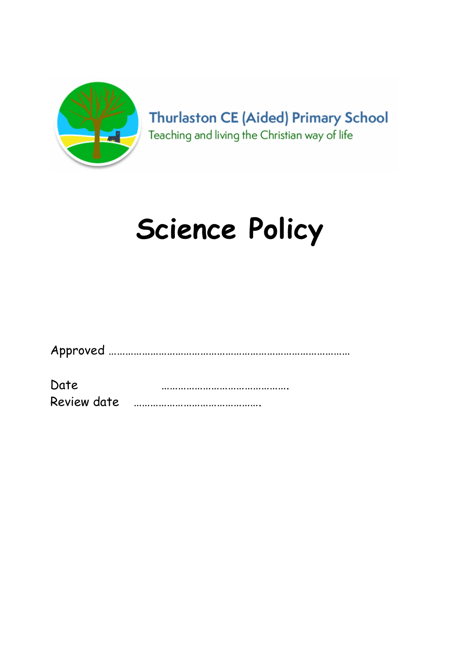

**Thurlaston CE (Aided) Primary School** Teaching and living the Christian way of life

# Science Policy

|--|--|

Date ………………………………………. Review date ……………………………………….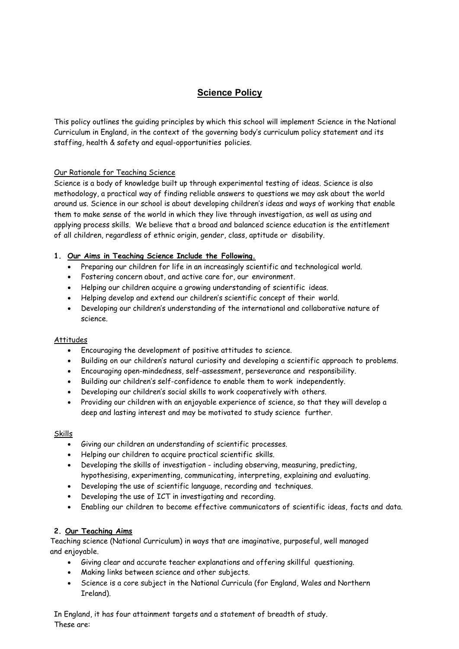# Science Policy

This policy outlines the guiding principles by which this school will implement Science in the National Curriculum in England, in the context of the governing body's curriculum policy statement and its staffing, health & safety and equal-opportunities policies.

### Our Rationale for Teaching Science

Science is a body of knowledge built up through experimental testing of ideas. Science is also methodology, a practical way of finding reliable answers to questions we may ask about the world around us. Science in our school is about developing children's ideas and ways of working that enable them to make sense of the world in which they live through investigation, as well as using and applying process skills. We believe that a broad and balanced science education is the entitlement of all children, regardless of ethnic origin, gender, class, aptitude or disability.

### 1. Our Aims in Teaching Science Include the Following.

- Preparing our children for life in an increasingly scientific and technological world.
- Fostering concern about, and active care for, our environment.
- Helping our children acquire a growing understanding of scientific ideas.
- Helping develop and extend our children's scientific concept of their world.
- Developing our children's understanding of the international and collaborative nature of science.

#### Attitudes

- Encouraging the development of positive attitudes to science.
- Building on our children's natural curiosity and developing a scientific approach to problems.
- Encouraging open-mindedness, self-assessment, perseverance and responsibility.
- Building our children's self-confidence to enable them to work independently.
- Developing our children's social skills to work cooperatively with others.
- Providing our children with an enjoyable experience of science, so that they will develop a deep and lasting interest and may be motivated to study science further.

#### Skills

- Giving our children an understanding of scientific processes.
- Helping our children to acquire practical scientific skills.
- Developing the skills of investigation including observing, measuring, predicting, hypothesising, experimenting, communicating, interpreting, explaining and evaluating.
- Developing the use of scientific language, recording and techniques.
- Developing the use of ICT in investigating and recording.
- Enabling our children to become effective communicators of scientific ideas, facts and data.

## 2. Our Teaching Aims

Teaching science (National Curriculum) in ways that are imaginative, purposeful, well managed and enjoyable.

- Giving clear and accurate teacher explanations and offering skillful questioning.
- Making links between science and other subjects.
- Science is a core subject in the National Curricula (for England, Wales and Northern Ireland).

In England, it has four attainment targets and a statement of breadth of study. These are: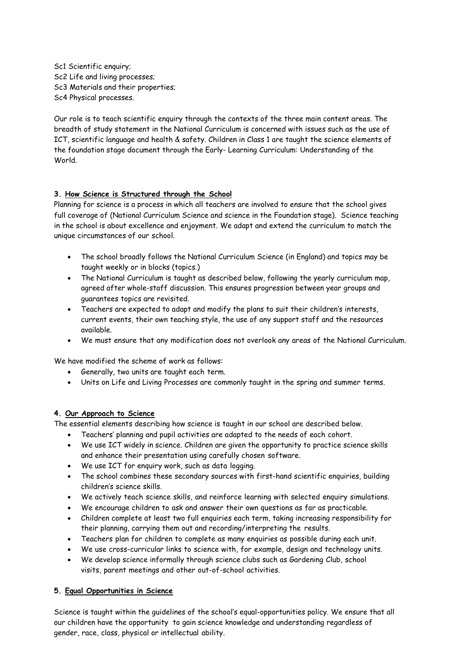Sc1 Scientific enquiry; Sc2 Life and living processes; Sc3 Materials and their properties; Sc4 Physical processes.

Our role is to teach scientific enquiry through the contexts of the three main content areas. The breadth of study statement in the National Curriculum is concerned with issues such as the use of ICT, scientific language and health & safety. Children in Class 1 are taught the science elements of the foundation stage document through the Early- Learning Curriculum: Understanding of the World.

### 3. How Science is Structured through the School

Planning for science is a process in which all teachers are involved to ensure that the school gives full coverage of (National Curriculum Science and science in the Foundation stage). Science teaching in the school is about excellence and enjoyment. We adapt and extend the curriculum to match the unique circumstances of our school.

- The school broadly follows the National Curriculum Science (in England) and topics may be taught weekly or in blocks (topics.)
- The National Curriculum is taught as described below, following the yearly curriculum map, agreed after whole-staff discussion. This ensures progression between year groups and guarantees topics are revisited.
- Teachers are expected to adapt and modify the plans to suit their children's interests, current events, their own teaching style, the use of any support staff and the resources available.
- We must ensure that any modification does not overlook any areas of the National Curriculum.

We have modified the scheme of work as follows:

- Generally, two units are taught each term.
- Units on Life and Living Processes are commonly taught in the spring and summer terms.

### 4. Our Approach to Science

The essential elements describing how science is taught in our school are described below.

- Teachers' planning and pupil activities are adapted to the needs of each cohort.
- We use ICT widely in science. Children are given the opportunity to practice science skills and enhance their presentation using carefully chosen software.
- We use ICT for enquiry work, such as data logging.
- The school combines these secondary sources with first-hand scientific enquiries, building children's science skills.
- We actively teach science skills, and reinforce learning with selected enquiry simulations.
- We encourage children to ask and answer their own questions as far as practicable.
- Children complete at least two full enquiries each term, taking increasing responsibility for their planning, carrying them out and recording/interpreting the results.
- Teachers plan for children to complete as many enquiries as possible during each unit.
- We use cross-curricular links to science with, for example, design and technology units.
- We develop science informally through science clubs such as Gardening Club, school visits, parent meetings and other out-of-school activities.

### 5. Equal Opportunities in Science

Science is taught within the guidelines of the school's equal-opportunities policy. We ensure that all our children have the opportunity to gain science knowledge and understanding regardless of gender, race, class, physical or intellectual ability.